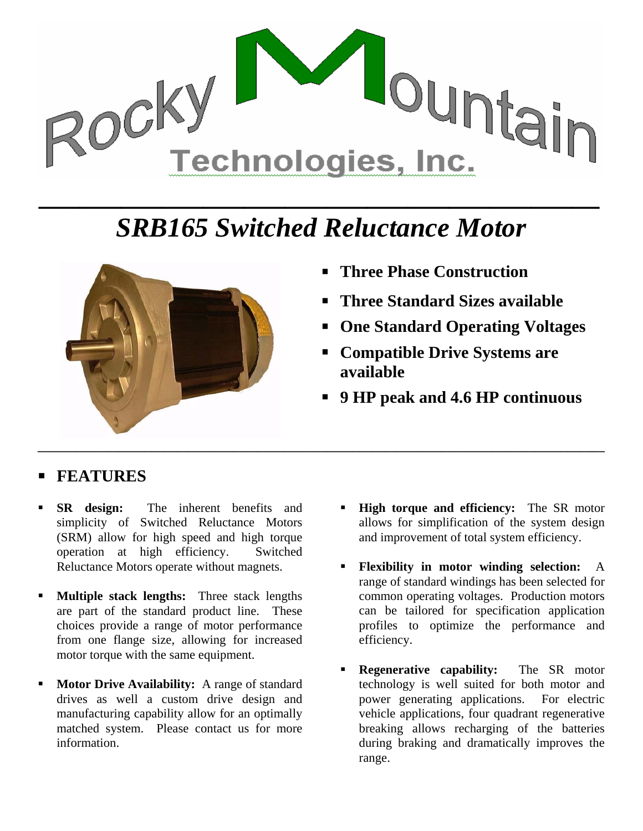

## *SRB165 Switched Reluctance Motor*



- **Three Phase Construction**
- **Three Standard Sizes available**
- **One Standard Operating Voltages**
- **Compatible Drive Systems are available**
- **9 HP peak and 4.6 HP continuous**

## **FEATURES**

- **SR design:** The inherent benefits and simplicity of Switched Reluctance Motors (SRM) allow for high speed and high torque operation at high efficiency. Switched Reluctance Motors operate without magnets.
- **Multiple stack lengths:** Three stack lengths are part of the standard product line. These choices provide a range of motor performance from one flange size, allowing for increased motor torque with the same equipment.
- **Motor Drive Availability:** A range of standard drives as well a custom drive design and manufacturing capability allow for an optimally matched system. Please contact us for more information.
- **High torque and efficiency:** The SR motor allows for simplification of the system design and improvement of total system efficiency.
- **Flexibility in motor winding selection:** A range of standard windings has been selected for common operating voltages. Production motors can be tailored for specification application profiles to optimize the performance and efficiency.
- **Regenerative capability:** The SR motor technology is well suited for both motor and power generating applications. For electric vehicle applications, four quadrant regenerative breaking allows recharging of the batteries during braking and dramatically improves the range.